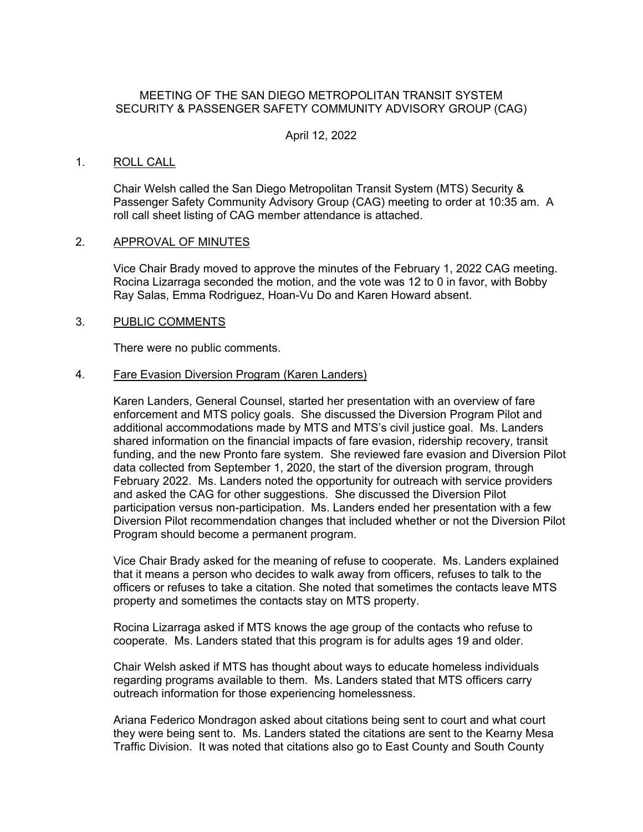# MEETING OF THE SAN DIEGO METROPOLITAN TRANSIT SYSTEM SECURITY & PASSENGER SAFETY COMMUNITY ADVISORY GROUP (CAG)

# April 12, 2022

### 1. ROLL CALL

Chair Welsh called the San Diego Metropolitan Transit System (MTS) Security & Passenger Safety Community Advisory Group (CAG) meeting to order at 10:35 am. A roll call sheet listing of CAG member attendance is attached.

#### 2. APPROVAL OF MINUTES

Vice Chair Brady moved to approve the minutes of the February 1, 2022 CAG meeting. Rocina Lizarraga seconded the motion, and the vote was 12 to 0 in favor, with Bobby Ray Salas, Emma Rodriguez, Hoan-Vu Do and Karen Howard absent.

# 3. PUBLIC COMMENTS

There were no public comments.

#### 4. Fare Evasion Diversion Program (Karen Landers)

Karen Landers, General Counsel, started her presentation with an overview of fare enforcement and MTS policy goals. She discussed the Diversion Program Pilot and additional accommodations made by MTS and MTS's civil justice goal. Ms. Landers shared information on the financial impacts of fare evasion, ridership recovery, transit funding, and the new Pronto fare system. She reviewed fare evasion and Diversion Pilot data collected from September 1, 2020, the start of the diversion program, through February 2022. Ms. Landers noted the opportunity for outreach with service providers and asked the CAG for other suggestions. She discussed the Diversion Pilot participation versus non-participation. Ms. Landers ended her presentation with a few Diversion Pilot recommendation changes that included whether or not the Diversion Pilot Program should become a permanent program.

Vice Chair Brady asked for the meaning of refuse to cooperate. Ms. Landers explained that it means a person who decides to walk away from officers, refuses to talk to the officers or refuses to take a citation. She noted that sometimes the contacts leave MTS property and sometimes the contacts stay on MTS property.

Rocina Lizarraga asked if MTS knows the age group of the contacts who refuse to cooperate. Ms. Landers stated that this program is for adults ages 19 and older.

Chair Welsh asked if MTS has thought about ways to educate homeless individuals regarding programs available to them. Ms. Landers stated that MTS officers carry outreach information for those experiencing homelessness.

Ariana Federico Mondragon asked about citations being sent to court and what court they were being sent to. Ms. Landers stated the citations are sent to the Kearny Mesa Traffic Division. It was noted that citations also go to East County and South County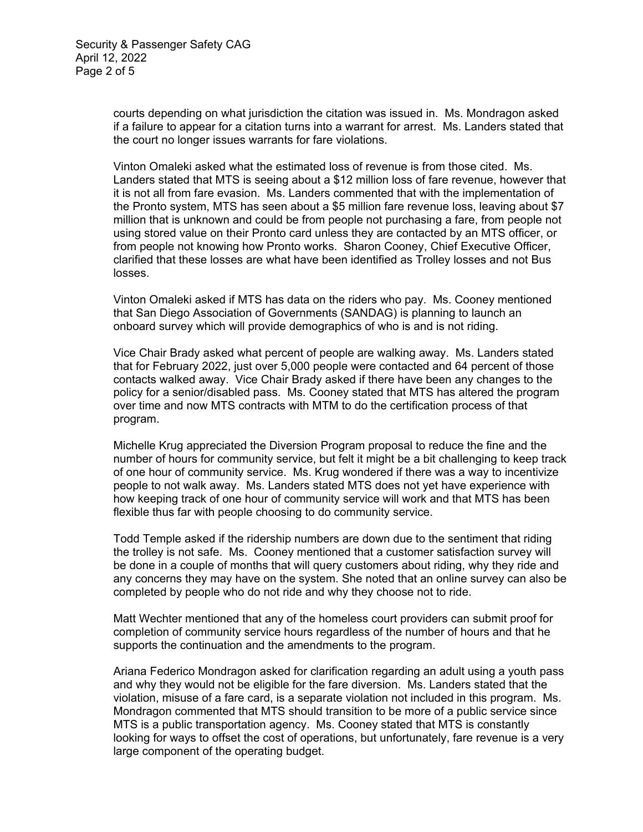courts depending on what jurisdiction the citation was issued in. Ms. Mondragon asked if a failure to appear for a citation turns into a warrant for arrest. Ms. Landers stated that the court no longer issues warrants for fare violations.

Vinton Omaleki asked what the estimated loss of revenue is from those cited. Ms. Landers stated that MTS is seeing about a \$12 million loss of fare revenue, however that it is not all from fare evasion. Ms. Landers commented that with the implementation of the Pronto system, MTS has seen about a \$5 million fare revenue loss, leaving about \$7 million that is unknown and could be from people not purchasing a fare, from people not using stored value on their Pronto card unless they are contacted by an MTS officer, or from people not knowing how Pronto works. Sharon Cooney, Chief Executive Officer, clarified that these losses are what have been identified as Trolley losses and not Bus losses.

Vinton Omaleki asked if MTS has data on the riders who pay. Ms. Cooney mentioned that San Diego Association of Governments (SANDAG) is planning to launch an onboard survey which will provide demographics of who is and is not riding.

Vice Chair Brady asked what percent of people are walking away. Ms. Landers stated that for February 2022, just over 5,000 people were contacted and 64 percent of those contacts walked away. Vice Chair Brady asked if there have been any changes to the policy for a senior/disabled pass. Ms. Cooney stated that MTS has altered the program over time and now MTS contracts with MTM to do the certification process of that program.

Michelle Krug appreciated the Diversion Program proposal to reduce the fine and the number of hours for community service, but felt it might be a bit challenging to keep track of one hour of community service. Ms. Krug wondered if there was a way to incentivize people to not walk away. Ms. Landers stated MTS does not yet have experience with how keeping track of one hour of community service will work and that MTS has been flexible thus far with people choosing to do community service.

Todd Temple asked if the ridership numbers are down due to the sentiment that riding the trolley is not safe. Ms. Cooney mentioned that a customer satisfaction survey will be done in a couple of months that will query customers about riding, why they ride and any concerns they may have on the system. She noted that an online survey can also be completed by people who do not ride and why they choose not to ride.

Matt Wechter mentioned that any of the homeless court providers can submit proof for completion of community service hours regardless of the number of hours and that he supports the continuation and the amendments to the program.

Ariana Federico Mondragon asked for clarification regarding an adult using a youth pass and why they would not be eligible for the fare diversion. Ms. Landers stated that the violation, misuse of a fare card, is a separate violation not included in this program. Ms. Mondragon commented that MTS should transition to be more of a public service since MTS is a public transportation agency. Ms. Cooney stated that MTS is constantly looking for ways to offset the cost of operations, but unfortunately, fare revenue is a very large component of the operating budget.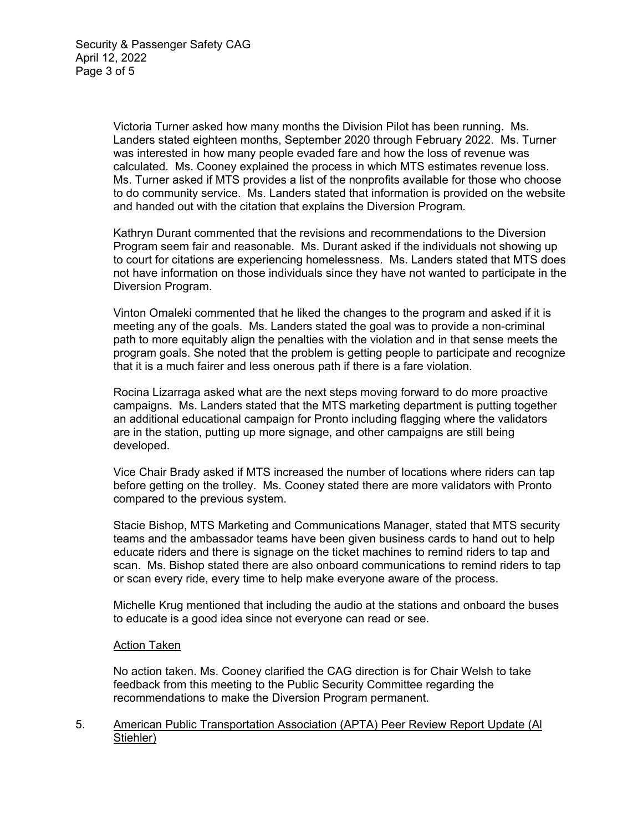Victoria Turner asked how many months the Division Pilot has been running. Ms. Landers stated eighteen months, September 2020 through February 2022. Ms. Turner was interested in how many people evaded fare and how the loss of revenue was calculated. Ms. Cooney explained the process in which MTS estimates revenue loss. Ms. Turner asked if MTS provides a list of the nonprofits available for those who choose to do community service. Ms. Landers stated that information is provided on the website and handed out with the citation that explains the Diversion Program.

Kathryn Durant commented that the revisions and recommendations to the Diversion Program seem fair and reasonable. Ms. Durant asked if the individuals not showing up to court for citations are experiencing homelessness. Ms. Landers stated that MTS does not have information on those individuals since they have not wanted to participate in the Diversion Program.

Vinton Omaleki commented that he liked the changes to the program and asked if it is meeting any of the goals. Ms. Landers stated the goal was to provide a non-criminal path to more equitably align the penalties with the violation and in that sense meets the program goals. She noted that the problem is getting people to participate and recognize that it is a much fairer and less onerous path if there is a fare violation.

Rocina Lizarraga asked what are the next steps moving forward to do more proactive campaigns. Ms. Landers stated that the MTS marketing department is putting together an additional educational campaign for Pronto including flagging where the validators are in the station, putting up more signage, and other campaigns are still being developed.

Vice Chair Brady asked if MTS increased the number of locations where riders can tap before getting on the trolley. Ms. Cooney stated there are more validators with Pronto compared to the previous system.

Stacie Bishop, MTS Marketing and Communications Manager, stated that MTS security teams and the ambassador teams have been given business cards to hand out to help educate riders and there is signage on the ticket machines to remind riders to tap and scan. Ms. Bishop stated there are also onboard communications to remind riders to tap or scan every ride, every time to help make everyone aware of the process.

Michelle Krug mentioned that including the audio at the stations and onboard the buses to educate is a good idea since not everyone can read or see.

# Action Taken

No action taken. Ms. Cooney clarified the CAG direction is for Chair Welsh to take feedback from this meeting to the Public Security Committee regarding the recommendations to make the Diversion Program permanent.

### 5. American Public Transportation Association (APTA) Peer Review Report Update (Al Stiehler)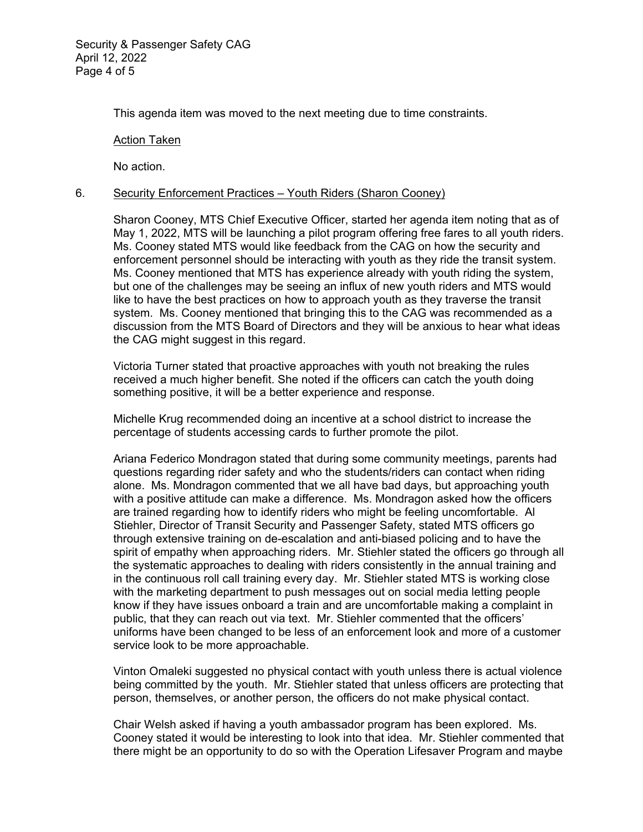This agenda item was moved to the next meeting due to time constraints.

#### Action Taken

No action.

# 6. Security Enforcement Practices – Youth Riders (Sharon Cooney)

Sharon Cooney, MTS Chief Executive Officer, started her agenda item noting that as of May 1, 2022, MTS will be launching a pilot program offering free fares to all youth riders. Ms. Cooney stated MTS would like feedback from the CAG on how the security and enforcement personnel should be interacting with youth as they ride the transit system. Ms. Cooney mentioned that MTS has experience already with youth riding the system, but one of the challenges may be seeing an influx of new youth riders and MTS would like to have the best practices on how to approach youth as they traverse the transit system. Ms. Cooney mentioned that bringing this to the CAG was recommended as a discussion from the MTS Board of Directors and they will be anxious to hear what ideas the CAG might suggest in this regard.

Victoria Turner stated that proactive approaches with youth not breaking the rules received a much higher benefit. She noted if the officers can catch the youth doing something positive, it will be a better experience and response.

Michelle Krug recommended doing an incentive at a school district to increase the percentage of students accessing cards to further promote the pilot.

Ariana Federico Mondragon stated that during some community meetings, parents had questions regarding rider safety and who the students/riders can contact when riding alone. Ms. Mondragon commented that we all have bad days, but approaching youth with a positive attitude can make a difference. Ms. Mondragon asked how the officers are trained regarding how to identify riders who might be feeling uncomfortable. Al Stiehler, Director of Transit Security and Passenger Safety, stated MTS officers go through extensive training on de-escalation and anti-biased policing and to have the spirit of empathy when approaching riders. Mr. Stiehler stated the officers go through all the systematic approaches to dealing with riders consistently in the annual training and in the continuous roll call training every day. Mr. Stiehler stated MTS is working close with the marketing department to push messages out on social media letting people know if they have issues onboard a train and are uncomfortable making a complaint in public, that they can reach out via text. Mr. Stiehler commented that the officers' uniforms have been changed to be less of an enforcement look and more of a customer service look to be more approachable.

Vinton Omaleki suggested no physical contact with youth unless there is actual violence being committed by the youth. Mr. Stiehler stated that unless officers are protecting that person, themselves, or another person, the officers do not make physical contact.

Chair Welsh asked if having a youth ambassador program has been explored. Ms. Cooney stated it would be interesting to look into that idea. Mr. Stiehler commented that there might be an opportunity to do so with the Operation Lifesaver Program and maybe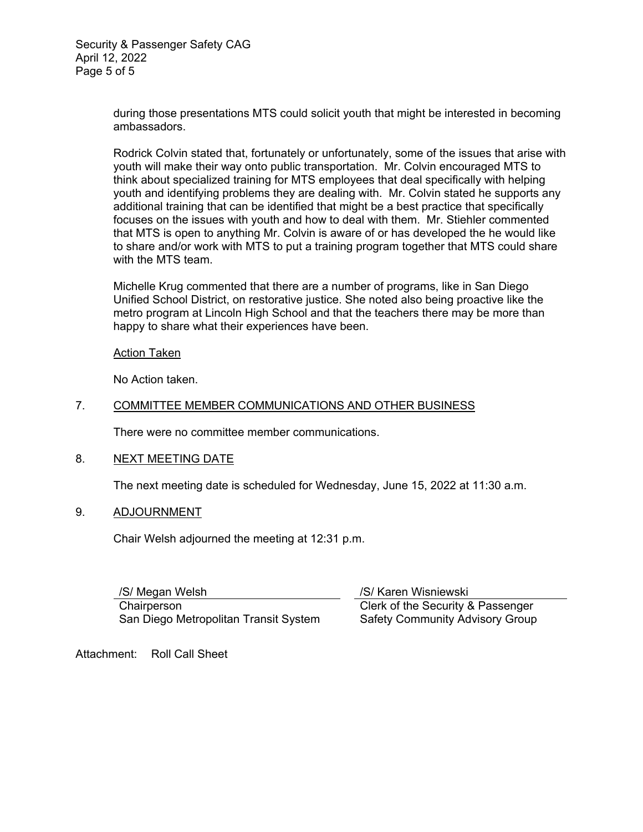during those presentations MTS could solicit youth that might be interested in becoming ambassadors.

Rodrick Colvin stated that, fortunately or unfortunately, some of the issues that arise with youth will make their way onto public transportation. Mr. Colvin encouraged MTS to think about specialized training for MTS employees that deal specifically with helping youth and identifying problems they are dealing with. Mr. Colvin stated he supports any additional training that can be identified that might be a best practice that specifically focuses on the issues with youth and how to deal with them. Mr. Stiehler commented that MTS is open to anything Mr. Colvin is aware of or has developed the he would like to share and/or work with MTS to put a training program together that MTS could share with the MTS team.

Michelle Krug commented that there are a number of programs, like in San Diego Unified School District, on restorative justice. She noted also being proactive like the metro program at Lincoln High School and that the teachers there may be more than happy to share what their experiences have been.

# Action Taken

No Action taken.

# 7. COMMITTEE MEMBER COMMUNICATIONS AND OTHER BUSINESS

There were no committee member communications.

# 8. NEXT MEETING DATE

The next meeting date is scheduled for Wednesday, June 15, 2022 at 11:30 a.m.

# 9. ADJOURNMENT

Chair Welsh adjourned the meeting at 12:31 p.m.

/S/ Megan Welsh **Chairperson** San Diego Metropolitan Transit System /S/ Karen Wisniewski Clerk of the Security & Passenger Safety Community Advisory Group

Attachment: Roll Call Sheet